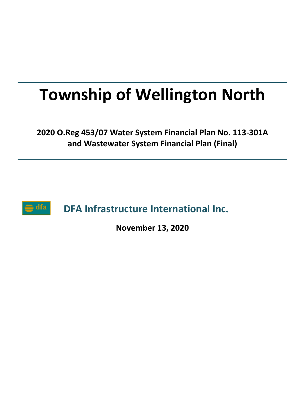# **Township of Wellington North**

**2020 O.Reg 453/07 Water System Financial Plan No. 113-301A and Wastewater System Financial Plan (Final)**



**DFA Infrastructure International Inc.**

**November 13, 2020**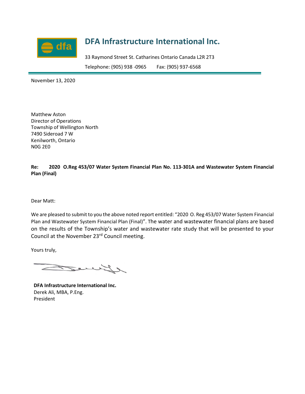

## **DFA Infrastructure International Inc.**

33 Raymond Street St. Catharines Ontario Canada L2R 2T3 Telephone: (905) 938 -0965 Fax: (905) 937-6568

November 13, 2020

Matthew Aston Director of Operations Township of Wellington North 7490 Sideroad 7 W Kenilworth, Ontario N0G 2E0

**Re: 2020 O.Reg 453/07 Water System Financial Plan No. 113-301A and Wastewater System Financial Plan (Final)**

Dear Matt:

We are pleased to submit to you the above noted report entitled: "2020 O. Reg 453/07 Water System Financial Plan and Wastewater System Financial Plan (Final)". The water and wastewater financial plans are based on the results of the Township's water and wastewater rate study that will be presented to your Council at the November 23rd Council meeting.

Yours truly,

 $\sim$ 

**DFA Infrastructure International Inc.** Derek Ali, MBA, P.Eng. President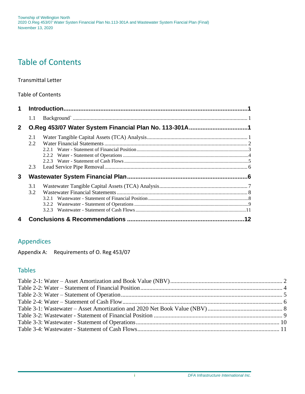## Table of Contents

#### Transmittal Letter

#### Table of Contents

| $\mathbf 1$    |     |                                                        |  |
|----------------|-----|--------------------------------------------------------|--|
|                | 1.1 |                                                        |  |
| 2 <sup>1</sup> |     | O.Reg 453/07 Water System Financial Plan No. 113-301A1 |  |
|                | 2.1 |                                                        |  |
|                | 2.2 |                                                        |  |
|                |     |                                                        |  |
|                | 2.3 |                                                        |  |
| 3              |     |                                                        |  |
|                | 3.1 |                                                        |  |
|                | 3.2 |                                                        |  |
|                |     |                                                        |  |
|                |     | 3.2.2                                                  |  |
|                |     | 3.2.3                                                  |  |
| 4              |     |                                                        |  |

#### Appendices

Appendix A: Requirements of O. Reg 453/07

#### Tables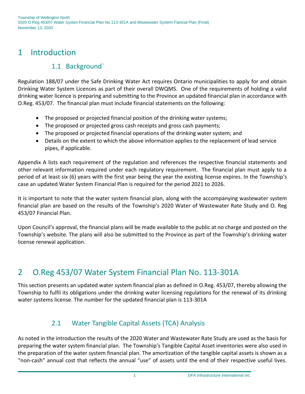## 1 Introduction

## 1.1 Background`

Regulation 188/07 under the Safe Drinking Water Act requires Ontario municipalities to apply for and obtain Drinking Water System Licences as part of their overall DWQMS. One of the requirements of holding a valid drinking water licence is preparing and submitting to the Province an updated financial plan in accordance with O.Reg. 453/07. The financial plan must include financial statements on the following:

- The proposed or projected financial position of the drinking water systems;
- The proposed or projected gross cash receipts and gross cash payments;
- The proposed or projected financial operations of the drinking water system; and
- Details on the extent to which the above information applies to the replacement of lead service pipes, if applicable.

Appendix A lists each requirement of the regulation and references the respective financial statements and other relevant information required under each regulatory requirement. The financial plan must apply to a period of at least six (6) years with the first year being the year the existing license expires. In the Township's case an updated Water System Financial Plan is required for the period 2021 to 2026.

It is important to note that the water system financial plan, along with the accompanying wastewater system financial plan are based on the results of the Township's 2020 Water of Wastewater Rate Study and O. Reg 453/07 Financial Plan.

Upon Council's approval, the financial plans will be made available to the public at no charge and posted on the Township's website. The plans will also be submitted to the Province as part of the Township's drinking water license renewal application.

## 2 O.Reg 453/07 Water System Financial Plan No. 113-301A

This section presents an updated water system financial plan as defined in O.Reg. 453/07, thereby allowing the Township to fulfil its obligations under the drinking water licensing regulations for the renewal of its drinking water systems license. The number for the updated financial plan is 113-301A

### 2.1 Water Tangible Capital Assets (TCA) Analysis

As noted in the introduction the results of the 2020 Water and Wastewater Rate Study are used as the basis for preparing the water system financial plan. The Township's Tangible Capital Asset inventories were also used in the preparation of the water system financial plan. The amortization of the tangible capital assets is shown as a "non-cash" annual cost that reflects the annual "use" of assets until the end of their respective useful lives.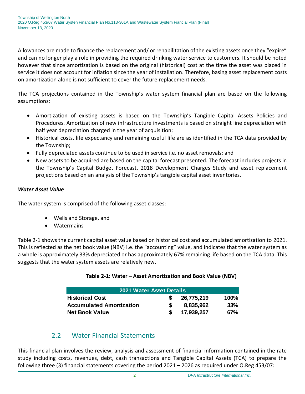Allowances are made to finance the replacement and/ or rehabilitation of the existing assets once they "expire" and can no longer play a role in providing the required drinking water service to customers. It should be noted however that since amortization is based on the original (historical) cost at the time the asset was placed in service it does not account for inflation since the year of installation. Therefore, basing asset replacement costs on amortization alone is not sufficient to cover the future replacement needs.

The TCA projections contained in the Township's water system financial plan are based on the following assumptions:

- Amortization of existing assets is based on the Township's Tangible Capital Assets Policies and Procedures. Amortization of new infrastructure investments is based on straight line depreciation with half year depreciation charged in the year of acquisition;
- Historical costs, life expectancy and remaining useful life are as identified in the TCA data provided by the Township;
- Fully depreciated assets continue to be used in service i.e. no asset removals; and
- New assets to be acquired are based on the capital forecast presented. The forecast includes projects in the Township's Capital Budget Forecast, 2018 Development Charges Study and asset replacement projections based on an analysis of the Township's tangible capital asset inventories.

#### *Water Asset Value*

The water system is comprised of the following asset classes:

- Wells and Storage, and
- Watermains

<span id="page-4-0"></span>Table 2-1 shows the current capital asset value based on historical cost and accumulated amortization to 2021. This is reflected as the net book value (NBV) i.e. the "accounting" value, and indicates that the water system as a whole is approximately 33% depreciated or has approximately 67% remaining life based on the TCA data. This suggests that the water system assets are relatively new.

#### **Table 2-1: Water – Asset Amortization and Book Value (NBV)**

| 2021 Water Asset Details        |  |            |         |  |  |  |
|---------------------------------|--|------------|---------|--|--|--|
| <b>Historical Cost</b>          |  | 26,775,219 | $100\%$ |  |  |  |
| <b>Accumulated Amortization</b> |  | 8,835,962  | 33%     |  |  |  |
| <b>Net Book Value</b>           |  | 17,939,257 | 67%     |  |  |  |

#### 2.2 Water Financial Statements

This financial plan involves the review, analysis and assessment of financial information contained in the rate study including costs, revenues, debt, cash transactions and Tangible Capital Assets (TCA) to prepare the following three (3) financial statements covering the period 2021 – 2026 as required under O.Reg 453/07: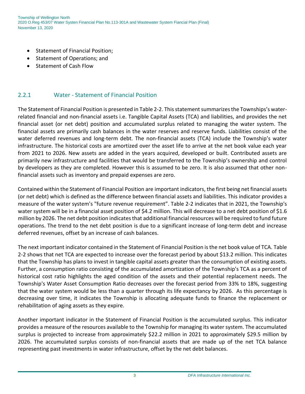- Statement of Financial Position;
- Statement of Operations; and
- Statement of Cash Flow

#### 2.2.1 Water - Statement of Financial Position

The Statement of Financial Position is presented in Table 2-2. This statement summarizes the Townships's waterrelated financial and non-financial assets i.e. Tangible Capital Assets (TCA) and liabilities, and provides the net financial asset (or net debt) position and accumulated surplus related to managing the water system. The financial assets are primarily cash balances in the water reserves and reserve funds. Liabilities consist of the water deferred revenues and long-term debt. The non-financial assets (TCA) include the Township's water infrastructure. The historical costs are amortized over the asset life to arrive at the net book value each year from 2021 to 2026. New assets are added in the years acquired, developed or built. Contributed assets are primarily new infrastructure and facilities that would be transferred to the Township's ownership and control by developers as they are completed. However this is assumed to be zero. It is also assumed that other nonfinancial assets such as inventory and prepaid expenses are zero.

Contained within the Statement of Financial Position are important indicators, the first being net financial assets (or net debt) which is defined as the difference between financial assets and liabilities. This indicator provides a measure of the water system's "future revenue requirement". Table 2-2 indicates that in 2021, the Township's water system will be in a financial asset position of \$4.2 million. This will decrease to a net debt position of \$1.6 million by 2026. The net debt position indicates that additional financial resources will be required to fund future operations. The trend to the net debt position is due to a significant increase of long-term debt and increase deferred revenues, offset by an increase of cash balances.

The next important indicator contained in the Statement of Financial Position is the net book value of TCA. Table 2-2 shows that net TCA are expected to increase over the forecast period by about \$13.2 million. This indicates that the Township has plans to invest in tangible capital assets greater than the consumption of existing assets. Further, a consumption ratio consisting of the accumulated amortization of the Township's TCA as a percent of historical cost ratio highlights the aged condition of the assets and their potential replacement needs. The Township's Water Asset Consumption Ratio decreases over the forecast period from 33% to 18%, suggesting that the water system would be less than a quarter through its life expectancy by 2026. As this percentage is decreasing over time, it indicates the Township is allocating adequate funds to finance the replacement or rehabilitation of aging assets as they expire.

Another important indicator in the Statement of Financial Position is the accumulated surplus. This indicator provides a measure of the resources available to the Township for managing its water system. The accumulated surplus is projected to increase from approximately \$22.2 million in 2021 to approximately \$29.5 million by 2026. The accumulated surplus consists of non-financial assets that are made up of the net TCA balance representing past investments in water infrastructure, offset by the net debt balances.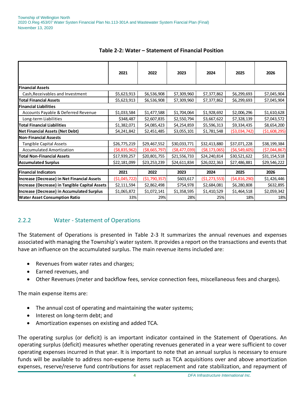<span id="page-6-0"></span>

|                                                   | 2021           | 2022           | 2023           | 2024             | 2025           | 2026           |
|---------------------------------------------------|----------------|----------------|----------------|------------------|----------------|----------------|
| <b>Financial Assets</b>                           |                |                |                |                  |                |                |
| Cash, Receivables and Investment                  | \$5,623,913    | \$6,536,908    | \$7,309,960    | \$7,377,862      | \$6,299,693    | \$7,045,904    |
| <b>Total Financial Assets</b>                     | \$5,623,913    | \$6,536,908    | \$7,309,960    | \$7,377,862      | \$6,299,693    | \$7,045,904    |
| lFinancial Liabilities                            |                |                |                |                  |                |                |
| Accounts Payable & Deferred Revenue               | \$1,033,584    | \$1,477,588    | \$1,704,064    | \$1,928,692      | \$2,006,296    | \$1,610,628    |
| Long-term Liabilities                             | \$348,487      | \$2,607,835    | \$2,550,794    | \$3,667,622      | \$7,328,139    | \$7,043,572    |
| <b>Total Financial Liabilities</b>                | \$1,382,071    | \$4,085,423    | \$4,254,859    | \$5,596,313      | \$9,334,435    | \$8,654,200    |
| <b>Net Financial Assets (Net Debt)</b>            | \$4,241,842    | \$2,451,485    | \$3,055,101    | \$1,781,548      | ( \$3,034,742) | ( \$1,608,295) |
| <b>Non-Financial Assests</b>                      |                |                |                |                  |                |                |
| <b>Tangible Capital Assets</b>                    | \$26,775,219   | \$29,467,552   | \$30,033,771   | \$32,413,880     | \$37,071,228   | \$38,199,384   |
| <b>Accumulated Amortization</b>                   | ( \$8,835,962) | ( \$8,665,797) | ( \$8,477,039) | ( \$8,173,065)   | (56, 549, 605) | ( \$7,044,867) |
| Total Non-Financial Assets                        | \$17,939,257   | \$20,801,755   | \$21,556,733   | \$24,240,814     | \$30,521,622   | \$31,154,518   |
| <b>Accumulated Surplus</b>                        | \$22,181,099   | \$23,253,239   | \$24,611,834   | \$26,022,363     | \$27,486,881   | \$29,546,222   |
| <b>Financial Indicators</b>                       | 2021           | 2022           | 2023           | 2024             | 2025           | 2026           |
| Increase (Decrease) in Net Financial Assets       | ( \$1,045,722) | ( \$1,790,357) | \$603,617      | ( \$1, 273, 553) | (\$4,816,290)  | \$1,426,446    |
| Increase (Decrease) in Tangible Capital Assets    | \$2,111,594    | \$2,862,498    | \$754,978      | \$2,684,081      | \$6,280,808    | \$632,895      |
| <b>Increase (Decrease) in Accumulated Surplus</b> | \$1,065,872    | \$1,072,141    | \$1,358,595    | \$1,410,529      | \$1,464,518    | \$2,059,342    |
| <b>Water Asset Consumption Ratio</b>              | 33%            | 29%            | 28%            | 25%              | 18%            | 18%            |

#### **Table 2-2: Water – Statement of Financial Position**

#### 2.2.2 Water - Statement of Operations

The Statement of Operations is presented in Table 2-3 It summarizes the annual revenues and expenses associated with managing the Township's water system. It provides a report on the transactions and events that have an influence on the accumulated surplus. The main revenue items included are:

- Revenues from water rates and charges;
- Earned revenues, and
- Other Revenues (meter and backflow fees, service connection fees, miscellaneous fees and charges).

The main expense items are:

- The annual cost of operating and maintaining the water systems;
- Interest on long-term debt; and
- Amortization expenses on existing and added TCA.

The operating surplus (or deficit) is an important indicator contained in the Statement of Operations. An operating surplus (deficit) measures whether operating revenues generated in a year were sufficient to cover operating expenses incurred in that year. It is important to note that an annual surplus is necessary to ensure funds will be available to address non-expense items such as TCA acquisitions over and above amortization expenses, reserve/reserve fund contributions for asset replacement and rate stabilization, and repayment of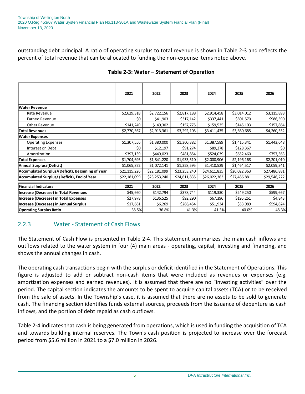outstanding debt principal. A ratio of operating surplus to total revenue is shown in Table 2-3 and reflects the percent of total revenue that can be allocated to funding the non-expense items noted above.

<span id="page-7-0"></span>

|                                                  | 2021         | 2022         | 2023         | 2024         | 2025         | 2026         |  |
|--------------------------------------------------|--------------|--------------|--------------|--------------|--------------|--------------|--|
| <b>Water Revenue</b>                             |              |              |              |              |              |              |  |
| Rate Revenue                                     | \$2,629,318  | \$2,722,156  | \$2,817,188  | \$2,914,458  | \$3,014,012  | \$3,115,898  |  |
| Earned Revenue                                   | \$0          | \$41,903     | \$317,142    | \$337,441    | \$501,570    | \$986,590    |  |
| <b>Other Revenue</b>                             | \$141,249    | \$149,302    | \$157,775    | \$159,535    | \$145,103    | \$157,864    |  |
| <b>Total Revenues</b>                            | \$2,770,567  | \$2,913,361  | \$3,292,105  | \$3,411,435  | \$3,660,685  | \$4,260,352  |  |
| <b>Water Expenses</b>                            |              |              |              |              |              |              |  |
| <b>Operating Expenses</b>                        | \$1,307,556  | \$1,380,000  | \$1,360,382  | \$1,387,589  | \$1,415,341  | \$1,443,648  |  |
| Interest on Debt                                 | \$0          | \$12,197     | \$91,274     | \$89,278     | \$128,367    | \$0          |  |
| Amortization                                     | \$397,139    | \$449,023    | \$481,854    | \$524,039    | \$652,460    | \$757,363    |  |
| <b>Total Expenses</b>                            | \$1,704,695  | \$1,841,220  | \$1,933,510  | \$2,000,906  | \$2,196,168  | \$2,201,010  |  |
| <b>Annual Surplus/(Deficit)</b>                  | \$1,065,872  | \$1,072,141  | \$1,358,595  | \$1,410,529  | \$1,464,517  | \$2,059,341  |  |
| Accumulated Surplus/(Deficit), Beginning of Year | \$21,115,226 | \$22,181,099 | \$23,253,240 | \$24,611,835 | \$26,022,363 | \$27,486,881 |  |
| Accumulated Surplus/ (Deficit), End of Year      | \$22,181,099 | \$23,253,240 | \$24,611,835 | \$26,022,363 | \$27,486,881 | \$29,546,222 |  |
| <b>Financial Indicators</b>                      | 2021         | 2022         | 2023         | 2024         | 2025         | 2026         |  |
| Increase (Decrease) in Total Revenues            | \$45,660     | \$142,794    | \$378,744    | \$119,330    | \$249,250    | \$599,667    |  |
| Increase (Decrease) in Total Expenses            | \$27,978     | \$136,525    | \$92,290     | \$67,396     | \$195,261    | \$4,843      |  |
| Increase (Decrease) in Annual Surplus            | \$17,681     | \$6,269      | \$286,454    | \$51,934     | \$53,989     | \$594,824    |  |
| <b>Operating Surplus Ratio</b>                   | 38.5%        | 36.8%        | 41.3%        | 41.3%        | 40.0%        | 48.3%        |  |

#### **Table 2-3: Water – Statement of Operation**

#### 2.2.3 Water - Statement of Cash Flows

The Statement of Cash Flow is presented in Table 2-4. This statement summarizes the main cash inflows and outflows related to the water system in four (4) main areas - operating, capital, investing and financing, and shows the annual changes in cash.

The operating cash transactions begin with the surplus or deficit identified in the Statement of Operations. This figure is adjusted to add or subtract non-cash items that were included as revenues or expenses (e.g. amortization expenses and earned revenues). It is assumed that there are no "investing activities" over the period. The capital section indicates the amounts to be spent to acquire capital assets (TCA) or to be received from the sale of assets. In the Township's case, it is assumed that there are no assets to be sold to generate cash. The financing section identifies funds external sources, proceeds from the issuance of debenture as cash inflows, and the portion of debt repaid as cash outflows.

Table 2-4 indicates that cash is being generated from operations, which is used in funding the acquisition of TCA and towards building internal reserves. The Town's cash position is projected to increase over the forecast period from \$5.6 million in 2021 to a \$7.0 million in 2026.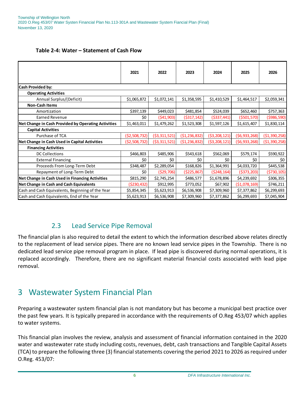| Table 2-4: Water - Statement of Cash Flow |  |  |
|-------------------------------------------|--|--|
|-------------------------------------------|--|--|

<span id="page-8-0"></span>

|                                                                                                                                                                                                                                                                                                                                                                                                                                                                                                                               | 2021                                    | 2022           | 2023             | 2024           | 2025           | 2026           |  |  |
|-------------------------------------------------------------------------------------------------------------------------------------------------------------------------------------------------------------------------------------------------------------------------------------------------------------------------------------------------------------------------------------------------------------------------------------------------------------------------------------------------------------------------------|-----------------------------------------|----------------|------------------|----------------|----------------|----------------|--|--|
| Cash Provided by:                                                                                                                                                                                                                                                                                                                                                                                                                                                                                                             |                                         |                |                  |                |                |                |  |  |
| <b>Operating Activities</b>                                                                                                                                                                                                                                                                                                                                                                                                                                                                                                   |                                         |                |                  |                |                |                |  |  |
| Annual Surplus/(Deficit)                                                                                                                                                                                                                                                                                                                                                                                                                                                                                                      | \$1,065,872                             | \$1,072,141    | \$1,358,595      | \$1,410,529    | \$1,464,517    | \$2,059,341    |  |  |
| <b>Non-Cash Items</b>                                                                                                                                                                                                                                                                                                                                                                                                                                                                                                         |                                         |                |                  |                |                |                |  |  |
| Amortization                                                                                                                                                                                                                                                                                                                                                                                                                                                                                                                  | \$397,139                               | \$449,023      | \$481,854        | \$524,039      | \$652,460      | \$757,363      |  |  |
| Earned Revenue                                                                                                                                                                                                                                                                                                                                                                                                                                                                                                                | \$0                                     | (541,903)      | ( \$317, 142)    | ( \$337,441)   | ( \$501, 570)  | ( \$986, 590)  |  |  |
| Net Change in Cash Provided by Operating Activities                                                                                                                                                                                                                                                                                                                                                                                                                                                                           | \$1,463,011                             | \$1,479,262    | \$1,523,308      | \$1,597,126    | \$1,615,407    | \$1,830,114    |  |  |
| <b>Capital Activities</b>                                                                                                                                                                                                                                                                                                                                                                                                                                                                                                     |                                         |                |                  |                |                |                |  |  |
| Purchase of TCA                                                                                                                                                                                                                                                                                                                                                                                                                                                                                                               | (52,508,732)                            | ( \$3,311,521) | ( \$1, 236, 832) | ( \$3,208,121) | (56, 933, 268) | ( \$1,390,258) |  |  |
| Net Change in Cash Used in Capital Activities                                                                                                                                                                                                                                                                                                                                                                                                                                                                                 | (52,508,732)                            | ( \$3,311,521) | ( \$1, 236, 832) | ( \$3,208,121) | (56, 933, 268) | (51, 390, 258) |  |  |
| <b>Financing Activities</b>                                                                                                                                                                                                                                                                                                                                                                                                                                                                                                   |                                         |                |                  |                |                |                |  |  |
| <b>DC Collections</b>                                                                                                                                                                                                                                                                                                                                                                                                                                                                                                         | \$466,803                               | \$485,906      | \$543,618        | \$562,069      | \$579,174      | \$590,922      |  |  |
| <b>External Financing</b>                                                                                                                                                                                                                                                                                                                                                                                                                                                                                                     | \$0                                     | \$0            | \$0              | \$0            | \$0            | \$0            |  |  |
| Proceeds From Long-Term Debt                                                                                                                                                                                                                                                                                                                                                                                                                                                                                                  | \$348,487                               | \$2,289,054    | \$168,826        | \$1,364,991    | \$4,033,720    | \$445,538      |  |  |
| Repayment of Long-Term Debt                                                                                                                                                                                                                                                                                                                                                                                                                                                                                                   | \$0                                     | ( \$29,706)    | ( \$225, 867)    | ( \$248, 164)  | ( \$373, 203)  | (5730, 105)    |  |  |
| Net Change in Cash Used in Financing Activities                                                                                                                                                                                                                                                                                                                                                                                                                                                                               | \$815,290                               | \$2,745,254    | \$486,577        | \$1,678,896    | \$4,239,692    | \$306,355      |  |  |
| Net Change in Cash and Cash Equivalents                                                                                                                                                                                                                                                                                                                                                                                                                                                                                       | ( \$230, 432)                           | \$912,995      | \$773,052        | \$67,902       | (51,078,169)   | \$746,211      |  |  |
| Cash and Cash Equivalents, Beginning of the Year                                                                                                                                                                                                                                                                                                                                                                                                                                                                              | \$5,854,345                             | \$5,623,913    | \$6,536,908      | \$7,309,960    | \$7,377,862    | \$6,299,693    |  |  |
| Cash and Cash Equivalents, End of the Year                                                                                                                                                                                                                                                                                                                                                                                                                                                                                    | \$5,623,913                             | \$6,536,908    | \$7,309,960      | \$7,377,862    | \$6,299,693    | \$7,045,904    |  |  |
| 2.3<br><b>Lead Service Pipe Removal</b><br>The financial plan is also required to detail the extent to which the information described above relates directly<br>to the replacement of lead service pipes. There are no known lead service pipes in the Township. There is no<br>dedicated lead service pipe removal program in place. If lead pipe is discovered during normal operations, it is<br>replaced accordingly. Therefore, there are no significant material financial costs associated with lead pipe<br>removal. |                                         |                |                  |                |                |                |  |  |
| 3                                                                                                                                                                                                                                                                                                                                                                                                                                                                                                                             | <b>Wastewater System Financial Plan</b> |                |                  |                |                |                |  |  |
| Preparing a wastewater system financial plan is not mandatory but has become a municipal best practice over<br>the past few years. It is typically prepared in accordance with the requirements of O.Reg 453/07 which applies<br>to water systems.                                                                                                                                                                                                                                                                            |                                         |                |                  |                |                |                |  |  |
| This financial plan involves the review, analysis and assessment of financial information contained in the 2020<br>water and wastewater rate study including costs, revenues, debt, cash transactions and Tangible Capital Assets<br>(TCA) to prepare the following three (3) financial statements covering the period 2021 to 2026 as required under<br>O.Reg. 453/07:                                                                                                                                                       |                                         |                |                  |                |                |                |  |  |

#### 2.3 Lead Service Pipe Removal

## 3 Wastewater System Financial Plan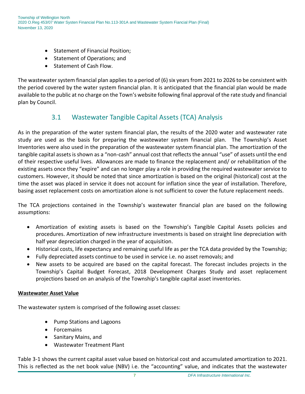- Statement of Financial Position;
- Statement of Operations; and
- Statement of Cash Flow.

The wastewater system financial plan applies to a period of (6) six years from 2021 to 2026 to be consistent with the period covered by the water system financial plan. It is anticipated that the financial plan would be made available to the public at no charge on the Town's website following final approval of the rate study and financial plan by Council.

## 3.1 Wastewater Tangible Capital Assets (TCA) Analysis

As in the preparation of the water system financial plan, the results of the 2020 water and wastewater rate study are used as the basis for preparing the wastewater system financial plan. The Township's Asset Inventories were also used in the preparation of the wastewater system financial plan. The amortization of the tangible capital assets is shown as a "non-cash" annual cost that reflects the annual "use" of assets until the end of their respective useful lives. Allowances are made to finance the replacement and/ or rehabilitation of the existing assets once they "expire" and can no longer play a role in providing the required wastewater service to customers. However, it should be noted that since amortization is based on the original (historical) cost at the time the asset was placed in service it does not account for inflation since the year of installation. Therefore, basing asset replacement costs on amortization alone is not sufficient to cover the future replacement needs.

The TCA projections contained in the Township's wastewater financial plan are based on the following assumptions:

- Amortization of existing assets is based on the Township's Tangible Capital Assets policies and procedures. Amortization of new infrastructure investments is based on straight line depreciation with half year depreciation charged in the year of acquisition.
- Historical costs, life expectancy and remaining useful life as per the TCA data provided by the Township;
- Fully depreciated assets continue to be used in service i.e. no asset removals; and
- New assets to be acquired are based on the capital forecast. The forecast includes projects in the Township's Capital Budget Forecast, 2018 Development Charges Study and asset replacement projections based on an analysis of the Township's tangible capital asset inventories.

#### **Wastewater Asset Value**

The wastewater system is comprised of the following asset classes:

- Pump Stations and Lagoons
- Forcemains
- Sanitary Mains, and
- Wastewater Treatment Plant

Table 3-1 shows the current capital asset value based on historical cost and accumulated amortization to 2021. This is reflected as the net book value (NBV) i.e. the "accounting" value, and indicates that the wastewater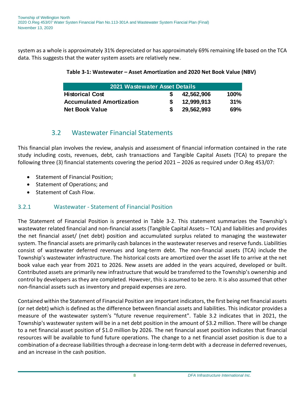<span id="page-10-0"></span>system as a whole is approximately 31% depreciated or has approximately 69% remaining life based on the TCA data. This suggests that the water system assets are relatively new.

| Table 3-1: Wastewater - Asset Amortization and 2020 Net Book Value (NBV) |  |  |  |
|--------------------------------------------------------------------------|--|--|--|
|--------------------------------------------------------------------------|--|--|--|

| 2021 Wastewater Asset Details   |  |            |         |  |  |  |  |
|---------------------------------|--|------------|---------|--|--|--|--|
| <b>Historical Cost</b>          |  | 42,562,906 | $100\%$ |  |  |  |  |
| <b>Accumulated Amortization</b> |  | 12,999,913 | 31%     |  |  |  |  |
| <b>Net Book Value</b>           |  | 29,562,993 | 69%     |  |  |  |  |

#### 3.2 Wastewater Financial Statements

This financial plan involves the review, analysis and assessment of financial information contained in the rate study including costs, revenues, debt, cash transactions and Tangible Capital Assets (TCA) to prepare the following three (3) financial statements covering the period 2021 – 2026 as required under O.Reg 453/07:

- Statement of Financial Position;
- Statement of Operations; and
- Statement of Cash Flow.

#### 3.2.1 Wastewater - Statement of Financial Position

The Statement of Financial Position is presented in Table 3-2. This statement summarizes the Township's wastewater related financial and non-financial assets (Tangible Capital Assets – TCA) and liabilities and provides the net financial asset/ (net debt) position and accumulated surplus related to managing the wastewater system. The financial assets are primarily cash balances in the wastewater reserves and reserve funds. Liabilities consist of wastewater deferred revenues and long-term debt. The non-financial assets (TCA) include the Township's wastewater infrastructure. The historical costs are amortized over the asset life to arrive at the net book value each year from 2021 to 2026. New assets are added in the years acquired, developed or built. Contributed assets are primarily new infrastructure that would be transferred to the Township's ownership and control by developers as they are completed. However, this is assumed to be zero. It is also assumed that other non-financial assets such as inventory and prepaid expenses are zero.

Contained within the Statement of Financial Position are important indicators, the first being net financial assets (or net debt) which is defined as the difference between financial assets and liabilities. This indicator provides a measure of the wastewater system's "future revenue requirement". Table 3.2 indicates that in 2021, the Township's wastewater system will be in a net debt position in the amount of \$3.2 million. There will be change to a net financial asset position of \$1.0 million by 2026. The net financial asset position indicates that financial resources will be available to fund future operations. The change to a net financial asset position is due to a combination of a decrease liabilities through a decrease in long-term debt with a decrease in deferred revenues, and an increase in the cash position.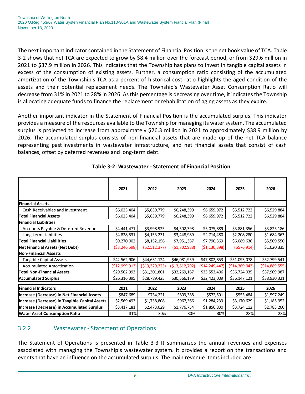The next important indicator contained in the Statement of Financial Position is the net book value of TCA. Table 3-2 shows that net TCA are expected to grow by \$8.4 million over the forecast period, or from \$29.6 million in 2021 to \$37.9 million in 2026. This indicates that the Township has plans to invest in tangible capital assets in excess of the consumption of existing assets. Further, a consumption ratio consisting of the accumulated amortization of the Township's TCA as a percent of historical cost ratio highlights the aged condition of the assets and their potential replacement needs. The Township's Wastewater Asset Consumption Ratio will decrease from 31% in 2021 to 28% in 2026. As this percentage is decreasing over time, it indicates the Township is allocating adequate funds to finance the replacement or rehabilitation of aging assets as they expire.

Another important indicator in the Statement of Financial Position is the accumulated surplus. This indicator provides a measure of the resources available to the Township for managing its water system. The accumulated surplus is projected to increase from approximately \$26.3 million in 2021 to approximately \$38.9 million by 2026. The accumulated surplus consists of non-financial assets that are made up of the net TCA balance representing past investments in wastewater infrastructure, and net financial assets that consist of cash balances, offset by deferred revenues and long-term debt.

<span id="page-11-0"></span>

|                                                | 2021             | 2022              | 2023              | 2024              | 2025              | 2026              |  |
|------------------------------------------------|------------------|-------------------|-------------------|-------------------|-------------------|-------------------|--|
| <b>Financial Assets</b>                        |                  |                   |                   |                   |                   |                   |  |
| Cash, Receivables and Investment               | \$6,023,404      | \$5,639,779       | \$6,248,399       | \$6,659,972       | \$5,512,722       | \$6,529,884       |  |
| <b>Total Financial Assets</b>                  | \$6,023,404      | \$5,639,779       | \$6,248,399       | \$6,659,972       | \$5,512,722       | \$6,529,884       |  |
| <b>Financial Liabilities</b>                   |                  |                   |                   |                   |                   |                   |  |
| Accounts Payable & Deferred Revenue            | \$4,441,471      | \$3,998,925       | \$4,502,398       | \$5,075,889       | \$3,881,356       | \$3,825,186       |  |
| Long-term Liabilities                          | \$4,828,531      | \$4,153,231       | \$3,448,989       | \$2,714,480       | \$2,208,280       | \$1,684,363       |  |
| <b>Total Financial Liabilities</b>             | \$9,270,002      | \$8,152,156       | \$7,951,387       | \$7,790,369       | \$6,089,636       | \$5,509,550       |  |
| <b>Net Financial Assets (Net Debt)</b>         | ( \$3, 246, 598) | (52, 512, 377)    | (51, 702, 988)    | ( \$1,130,398)    | (5576, 914)       | \$1,020,335       |  |
| <b>Non-Financial Assests</b>                   |                  |                   |                   |                   |                   |                   |  |
| <b>Tangible Capital Assets</b>                 | \$42,562,906     | \$44,631,124      | \$46,081,959      | \$47,802,853      | \$51,093,078      | \$52,799,541      |  |
| <b>Accumulated Amortization</b>                | ( \$12,999,913)  | ( \$13, 329, 323) | ( \$13, 812, 792) | ( \$14, 249, 447) | ( \$14, 369, 043) | ( \$14, 889, 555) |  |
| <b>Total Non-Financial Assets</b>              | \$29,562,993     | \$31,301,801      | \$32,269,167      | \$33,553,406      | \$36,724,035      | \$37,909,987      |  |
| <b>Accumulated Surplus</b>                     | \$26,316,395     | \$28,789,425      | \$30,566,179      | \$32,423,009      | \$36,147,121      | \$38,930,321      |  |
|                                                |                  |                   |                   |                   |                   |                   |  |
| <b>Financial Indicators</b>                    | 2021             | 2022              | 2023              | 2024              | 2025              | 2026              |  |
| Increase (Decrease) in Net Financial Assets    | \$847,689        | \$734,221         | \$809,388         | \$572,591         | \$553,484         | \$1,597,249       |  |
| Increase (Decrease) in Tangible Capital Assets | \$2,569,493      | \$1,738,808       | \$967,366         | \$1,284,239       | \$3,170,629       | \$1,185,952       |  |
| Increase (Decrease) in Accumulated Surplus     | \$3,417,181      | \$2,473,029       | \$1,776,754       | \$1,856,830       | \$3,724,112       | \$2,783,200       |  |
| <b>Water Asset Consumption Ratio</b>           | 31%              | 30%               | 30%               | 30%               | 28%               | 28%               |  |

#### **Table 3-2: Wastewater - Statement of Financial Position**

#### 3.2.2 Wastewater - Statement of Operations

The Statement of Operations is presented in Table 3-3 It summarizes the annual revenues and expenses associated with managing the Township's wastewater system. It provides a report on the transactions and events that have an influence on the accumulated surplus. The main revenue items included are: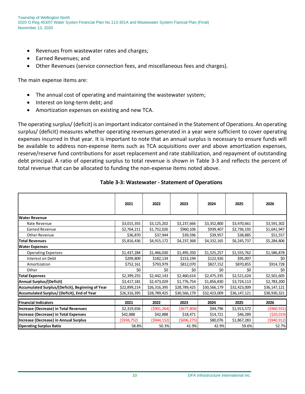- Revenues from wastewater rates and charges;
- Earned Revenues; and
- Other Revenues (service connection fees, and miscellaneous fees and charges).

The main expense items are:

- The annual cost of operating and maintaining the wastewater system;
- Interest on long-term debt; and
- Amortization expenses on existing and new TCA.

The operating surplus/ (deficit) is an important indicator contained in the Statement of Operations. An operating surplus/ (deficit) measures whether operating revenues generated in a year were sufficient to cover operating expenses incurred in that year. It is important to note that an annual surplus is necessary to ensure funds will be available to address non-expense items such as TCA acquisitions over and above amortization expenses, reserve/reserve fund contributions for asset replacement and rate stabilization, and repayment of outstanding debt principal. A ratio of operating surplus to total revenue is shown in Table 3-3 and reflects the percent of total revenue that can be allocated to funding the non-expense items noted above.

<span id="page-12-0"></span>

|                                                  | 2021         | 2022         | 2023         | 2024         | 2025         | 2026         |
|--------------------------------------------------|--------------|--------------|--------------|--------------|--------------|--------------|
| <b>Water Revenue</b>                             |              |              |              |              |              |              |
| Rate Revenue                                     | \$3,015,355  | \$3,125,202  | \$3,237,666  | \$3,352,800  | \$3,470,661  | \$3,591,302  |
| <b>Earned Revenue</b>                            | \$2,764,211  | \$1,752,026  | \$960,106    | \$939,407    | \$2,736,192  | \$1,641,947  |
| Other Revenue                                    | \$36,870     | \$37,944     | \$39,596     | \$39,957     | \$38,885     | \$51,557     |
| Total Revenues                                   | \$5,816,436  | \$4,915,172  | \$4,237,368  | \$4,332,165  | \$6,245,737  | \$5,284,806  |
| <b>Water Expenses</b>                            |              |              |              |              |              |              |
| <b>Operating Expenses</b>                        | \$1,437,284  | \$1,466,030  | \$1,495,350  | \$1,525,257  | \$1,555,762  | \$1,586,878  |
| Interest on Debt                                 | \$209,809    | \$182,134    | \$153,194    | \$122,926    | \$95,007     | \$0          |
| Amortization                                     | \$752,161    | \$793,979    | \$812,070    | \$827,152    | \$870,855    | \$914,728    |
| Other                                            | \$0          | \$0          | \$0          | \$0          | \$0          | \$0          |
| <b>Total Expenses</b>                            | \$2,399,255  | \$2,442,143  | \$2,460,614  | \$2,475,335  | \$2,521,624  | \$2,501,605  |
| <b>Annual Surplus/(Deficit)</b>                  | \$3,417,181  | \$2,473,029  | \$1,776,754  | \$1,856,830  | \$3,724,113  | \$2,783,200  |
| Accumulated Surplus/(Deficit), Beginning of Year | \$22,899,214 | \$26,316,395 | \$28,789,425 | \$30,566,179 | \$32,423,009 | \$36,147,121 |
| Accumulated Surplus/ (Deficit), End of Year      | \$26,316,395 | \$28,789,425 | \$30,566,179 | \$32,423,009 | \$36,147,121 | \$38,930,321 |
|                                                  |              |              |              |              |              |              |
| <b>Financial Indicators</b>                      | 2021         | 2022         | 2023         | 2024         | 2025         | 2026         |
| Increase (Decrease) in Total Revenues            | \$2,319,656  | (\$901,264)  | (5677,804)   | \$94,796     | \$1,913,572  | (\$960,931)  |
| Increase (Decrease) in Total Expenses            | \$42,888     | \$42,888     | \$18,471     | \$14,721     | \$46,289     | (\$20,019)   |
| Increase (Decrease) in Annual Surplus            | (\$938,752)  | (5944, 152)  | (5696, 275)  | \$80,076     | \$1,867,283  | (\$940,912)  |
| <b>Operating Surplus Ratio</b>                   | 58.8%        | 50.3%        | 41.9%        | 42.9%        | 59.6%        | 52.7%        |

#### **Table 3-3: Wastewater - Statement of Operations**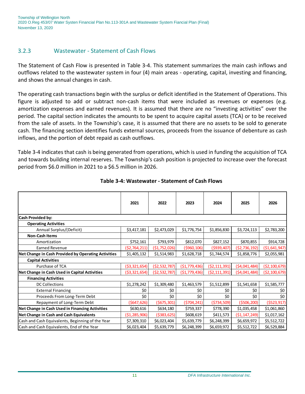Township of Wellington North 2020 O.Reg 453/07 Water Systen Financial Plan No.113-301A and Wastewater System Fiancial Plan (Final) November 13, 2020

#### 3.2.3 Wastewater - Statement of Cash Flows

The Statement of Cash Flow is presented in Table 3-4. This statement summarizes the main cash inflows and outflows related to the wastewater system in four (4) main areas - operating, capital, investing and financing, and shows the annual changes in cash.

The operating cash transactions begin with the surplus or deficit identified in the Statement of Operations. This figure is adjusted to add or subtract non-cash items that were included as revenues or expenses (e.g. amortization expenses and earned revenues). It is assumed that there are no "investing activities" over the period. The capital section indicates the amounts to be spent to acquire capital assets (TCA) or to be received from the sale of assets. In the Township's case, it is assumed that there are no assets to be sold to generate cash. The financing section identifies funds external sources, proceeds from the issuance of debenture as cash inflows, and the portion of debt repaid as cash outflows.

Table 3-4 indicates that cash is being generated from operations, which is used in funding the acquisition of TCA and towards building internal reserves. The Township's cash position is projected to increase over the forecast period from \$6.0 million in 2021 to a \$6.5 million in 2026.

<span id="page-13-0"></span>

|                                                     | 2021             | 2022           | 2023           | 2024             | 2025           | 2026           |
|-----------------------------------------------------|------------------|----------------|----------------|------------------|----------------|----------------|
| <b>Cash Provided by:</b>                            |                  |                |                |                  |                |                |
| <b>Operating Activities</b>                         |                  |                |                |                  |                |                |
| Annual Surplus/(Deficit)                            | \$3,417,181      | \$2,473,029    | \$1,776,754    | \$1,856,830      | \$3,724,113    | \$2,783,200    |
| <b>Non-Cash Items</b>                               |                  |                |                |                  |                |                |
| Amortization                                        | \$752,161        | \$793,979      | \$812,070      | \$827,152        | \$870,855      | \$914,728      |
| <b>Earned Revenue</b>                               | (\$2,764,211)    | (\$1,752,026)  | ( \$960, 106)  | ( \$939, 407)    | (\$2,736,192)  | ( \$1,641,947) |
| Net Change in Cash Provided by Operating Activities | \$1,405,132      | \$1,514,983    | \$1,628,718    | \$1,744,574      | \$1,858,776    | \$2,055,981    |
| <b>Capital Activities</b>                           |                  |                |                |                  |                |                |
| Purchase of TCA                                     | ( \$3,321,654)   | (52, 532, 787) | ( \$1,779,436) | (52, 111, 391)   | ( \$4,041,484) | ( \$2,100,679) |
| Net Change in Cash Used in Capital Activities       | ( \$3,321,654)   | ( \$2,532,787) | ( \$1,779,436) | ( \$2, 111, 391) | (\$4,041,484)  | ( \$2,100,679) |
| <b>Financing Activities</b>                         |                  |                |                |                  |                |                |
| <b>DC Collections</b>                               | \$1,278,242      | \$1,309,480    | \$1,463,579    | \$1,512,899      | \$1,541,658    | \$1,585,777    |
| <b>External Financing</b>                           | \$0              | \$0            | \$0            | \$0              | \$0            | \$0            |
| Proceeds From Long-Term Debt                        | \$0              | \$0            | \$0            | \$0              | \$0            | \$0            |
| Repayment of Long-Term Debt                         | ( \$647, 626)    | ( \$675, 301)  | (5704, 241)    | ( \$734, 509)    | ( \$506, 200)  | ( \$523, 917)  |
| Net Change in Cash Used in Financing Activities     | \$630,616        | \$634,180      | \$759,337      | \$778,390        | \$1,035,458    | \$1,061,860    |
| Net Change in Cash and Cash Equivalents             | ( \$1, 285, 906) | ( \$383, 625)  | \$608,619      | \$411,573        | ( \$1,147,249) | \$1,017,162    |
| Cash and Cash Equivalents, Beginning of the Year    | \$7,309,310      | \$6,023,404    | \$5,639,779    | \$6,248,399      | \$6,659,972    | \$5,512,722    |
| Cash and Cash Equivalents, End of the Year          | \$6,023,404      | \$5,639,779    | \$6,248,399    | \$6,659,972      | \$5,512,722    | \$6,529,884    |

#### **Table 3-4: Wastewater - Statement of Cash Flows**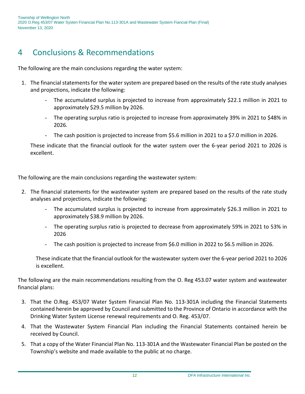## 4 Conclusions & Recommendations

The following are the main conclusions regarding the water system:

- 1. The financial statements for the water system are prepared based on the results of the rate study analyses and projections, indicate the following:
	- The accumulated surplus is projected to increase from approximately \$22.1 million in 2021 to approximately \$29.5 million by 2026.
	- The operating surplus ratio is projected to increase from approximately 39% in 2021 to \$48% in 2026.
	- The cash position is projected to increase from \$5.6 million in 2021 to a \$7.0 million in 2026.

These indicate that the financial outlook for the water system over the 6-year period 2021 to 2026 is excellent.

The following are the main conclusions regarding the wastewater system:

- 2. The financial statements for the wastewater system are prepared based on the results of the rate study analyses and projections, indicate the following:
	- The accumulated surplus is projected to increase from approximately \$26.3 million in 2021 to approximately \$38.9 million by 2026.
	- The operating surplus ratio is projected to decrease from approximately 59% in 2021 to 53% in 2026
	- The cash position is projected to increase from \$6.0 million in 2022 to \$6.5 million in 2026.

These indicate that the financial outlook for the wastewater system over the 6-year period 2021 to 2026 is excellent.

The following are the main recommendations resulting from the O. Reg 453.07 water system and wastewater financial plans:

- 3. That the O.Reg. 453/07 Water System Financial Plan No. 113-301A including the Financial Statements contained herein be approved by Council and submitted to the Province of Ontario in accordance with the Drinking Water System License renewal requirements and O. Reg. 453/07.
- 4. That the Wastewater System Financial Plan including the Financial Statements contained herein be received by Council.
- 5. That a copy of the Water Financial Plan No. 113-301A and the Wastewater Financial Plan be posted on the Township's website and made available to the public at no charge.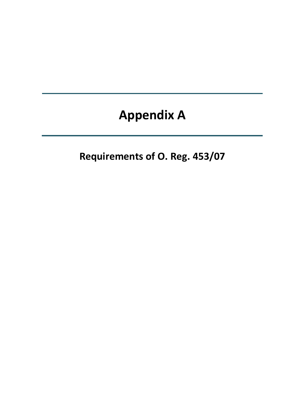## **Appendix A**

**Requirements of O. Reg. 453/07**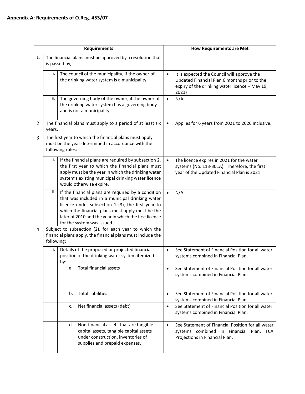| <b>Requirements</b> |                                                                                                                                  |                                                                                                                                                                                                                                                                                                       | <b>How Requirements are Met</b> |                                                                                                                                                        |  |
|---------------------|----------------------------------------------------------------------------------------------------------------------------------|-------------------------------------------------------------------------------------------------------------------------------------------------------------------------------------------------------------------------------------------------------------------------------------------------------|---------------------------------|--------------------------------------------------------------------------------------------------------------------------------------------------------|--|
| 1.                  |                                                                                                                                  | The financial plans must be approved by a resolution that<br>is passed by,                                                                                                                                                                                                                            |                                 |                                                                                                                                                        |  |
|                     | i.                                                                                                                               | The council of the municipality, if the owner of<br>the drinking water system is a municipality.                                                                                                                                                                                                      | $\bullet$                       | It is expected the Council will approve the<br>Updated Financial Plan 6 months prior to the<br>expiry of the drinking water licence - May 19,<br>2021) |  |
|                     | ii.                                                                                                                              | The governing body of the owner, if the owner of<br>the drinking water system has a governing body<br>and is not a municipality.                                                                                                                                                                      | $\bullet$                       | N/A                                                                                                                                                    |  |
| 2.                  | years.                                                                                                                           | The financial plans must apply to a period of at least six                                                                                                                                                                                                                                            | $\bullet$                       | Applies for 6 years from 2021 to 2026 inclusive.                                                                                                       |  |
| 3.                  | The first year to which the financial plans must apply<br>must be the year determined in accordance with the<br>following rules: |                                                                                                                                                                                                                                                                                                       |                                 |                                                                                                                                                        |  |
|                     | i.                                                                                                                               | If the financial plans are required by subsection 2,<br>the first year to which the financial plans must<br>apply must be the year in which the drinking water<br>system's existing municipal drinking water licence<br>would otherwise expire.                                                       |                                 | The licence expires in 2021 for the water<br>systems (No. 113-301A). Therefore, the first<br>year of the Updated Financial Plan is 2021                |  |
|                     | ii.                                                                                                                              | If the financial plans are required by a condition<br>that was included in a municipal drinking water<br>licence under subsection 1 (3), the first year to<br>which the financial plans must apply must be the<br>later of 2010 and the year in which the first licence<br>for the system was issued. |                                 | N/A                                                                                                                                                    |  |
| 4.                  |                                                                                                                                  | Subject to subsection (2), for each year to which the<br>financial plans apply, the financial plans must include the<br>following:                                                                                                                                                                    |                                 |                                                                                                                                                        |  |
|                     | i.                                                                                                                               | Details of the proposed or projected financial<br>position of the drinking water system itemized<br>by:                                                                                                                                                                                               | $\bullet$                       | See Statement of Financial Position for all water<br>systems combined in Financial Plan.                                                               |  |
|                     |                                                                                                                                  | a.<br>Total financial assets                                                                                                                                                                                                                                                                          |                                 | See Statement of Financial Position for all water<br>systems combined in Financial Plan.                                                               |  |
|                     |                                                                                                                                  | <b>Total liabilities</b><br>b.                                                                                                                                                                                                                                                                        | $\bullet$                       | See Statement of Financial Position for all water<br>systems combined in Financial Plan.                                                               |  |
|                     |                                                                                                                                  | Net financial assets (debt)<br>c.                                                                                                                                                                                                                                                                     | $\bullet$                       | See Statement of Financial Position for all water<br>systems combined in Financial Plan.                                                               |  |
|                     |                                                                                                                                  | Non-financial assets that are tangible<br>d.<br>capital assets, tangible capital assets<br>under construction, inventories of<br>supplies and prepaid expenses.                                                                                                                                       | $\bullet$                       | See Statement of Financial Position for all water<br>systems combined in Financial Plan. TCA<br>Projections in Financial Plan.                         |  |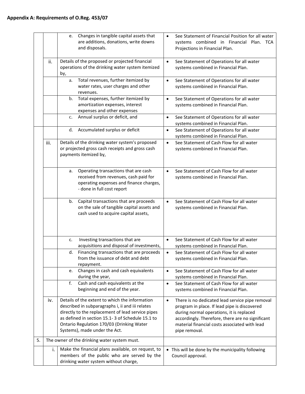|    |      | Changes in tangible capital assets that<br>e.<br>are additions, donations, write downs<br>and disposals.                                                                                                                                                                                  | See Statement of Financial Position for all water<br>systems combined in Financial Plan. TCA<br>Projections in Financial Plan.                                                                                                                                                 |
|----|------|-------------------------------------------------------------------------------------------------------------------------------------------------------------------------------------------------------------------------------------------------------------------------------------------|--------------------------------------------------------------------------------------------------------------------------------------------------------------------------------------------------------------------------------------------------------------------------------|
|    | ii.  | Details of the proposed or projected financial<br>operations of the drinking water system itemized<br>by,                                                                                                                                                                                 | See Statement of Operations for all water<br>$\bullet$<br>systems combined in Financial Plan.                                                                                                                                                                                  |
|    |      | Total revenues, further itemized by<br>a.<br>water rates, user charges and other<br>revenues.                                                                                                                                                                                             | See Statement of Operations for all water<br>$\bullet$<br>systems combined in Financial Plan.                                                                                                                                                                                  |
|    |      | Total expenses, further itemized by<br>b.<br>amortization expenses, interest<br>expenses and other expenses                                                                                                                                                                               | See Statement of Operations for all water<br>$\bullet$<br>systems combined in Financial Plan.                                                                                                                                                                                  |
|    |      | Annual surplus or deficit, and<br>$c_{\cdot}$                                                                                                                                                                                                                                             | See Statement of Operations for all water<br>$\bullet$<br>systems combined in Financial Plan.                                                                                                                                                                                  |
|    |      | Accumulated surplus or deficit<br>d.                                                                                                                                                                                                                                                      | See Statement of Operations for all water<br>$\bullet$<br>systems combined in Financial Plan.                                                                                                                                                                                  |
|    | iii. | Details of the drinking water system's proposed<br>or projected gross cash receipts and gross cash<br>payments itemized by,                                                                                                                                                               | See Statement of Cash Flow for all water<br>$\bullet$<br>systems combined in Financial Plan.                                                                                                                                                                                   |
|    |      | Operating transactions that are cash<br>а.<br>received from revenues, cash paid for<br>operating expenses and finance charges,<br>- done in full cost report                                                                                                                              | See Statement of Cash Flow for all water<br>$\bullet$<br>systems combined in Financial Plan.                                                                                                                                                                                   |
|    |      | Capital transactions that are proceeds<br>b.<br>on the sale of tangible capital assets and<br>cash used to acquire capital assets,                                                                                                                                                        | See Statement of Cash Flow for all water<br>systems combined in Financial Plan.                                                                                                                                                                                                |
|    |      | Investing transactions that are<br>c.<br>acquisitions and disposal of investments,                                                                                                                                                                                                        | See Statement of Cash Flow for all water<br>$\bullet$<br>systems combined in Financial Plan.                                                                                                                                                                                   |
|    |      | Financing transactions that are proceeds<br>d.<br>from the issuance of debt and debt<br>repayment.                                                                                                                                                                                        | See Statement of Cash Flow for all water<br>systems combined in Financial Plan.                                                                                                                                                                                                |
|    |      | Changes in cash and cash equivalents<br>e.<br>during the year,                                                                                                                                                                                                                            | See Statement of Cash Flow for all water<br>$\bullet$<br>systems combined in Financial Plan.                                                                                                                                                                                   |
|    |      | Cash and cash equivalents at the<br>f.<br>beginning and end of the year.                                                                                                                                                                                                                  | See Statement of Cash Flow for all water<br>$\bullet$<br>systems combined in Financial Plan.                                                                                                                                                                                   |
|    | iv.  | Details of the extent to which the information<br>described in subparagraphs i, ii and iii relates<br>directly to the replacement of lead service pipes<br>as defined in section 15.1-3 of Schedule 15.1 to<br>Ontario Regulation 170/03 (Drinking Water<br>Systems), made under the Act. | There is no dedicated lead service pipe removal<br>$\bullet$<br>program in place. If lead pipe is discovered<br>during normal operations, it is replaced<br>accordingly. Therefore, there are no significant<br>material financial costs associated with lead<br>pipe removal. |
| 5. |      | The owner of the drinking water system must.                                                                                                                                                                                                                                              |                                                                                                                                                                                                                                                                                |
|    | i.   | Make the financial plans available, on request, to<br>members of the public who are served by the<br>drinking water system without charge,                                                                                                                                                | • This will be done by the municipality following<br>Council approval.                                                                                                                                                                                                         |